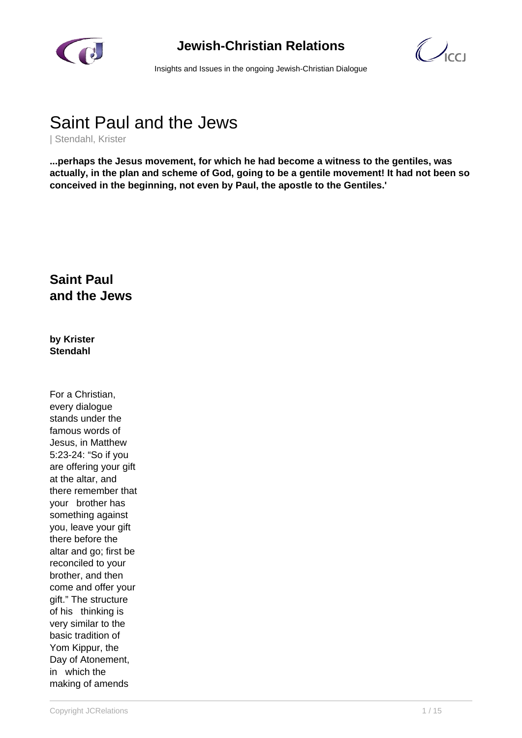

## **Jewish-Christian Relations**

 $\bigcirc$ 

Insights and Issues in the ongoing Jewish-Christian Dialogue

# Saint Paul and the Jews

| Stendahl, Krister

**...perhaps the Jesus movement, for which he had become a witness to the gentiles, was actually, in the plan and scheme of God, going to be a gentile movement! It had not been so conceived in the beginning, not even by Paul, the apostle to the Gentiles.'**

## **Saint Paul and the Jews**

**by Krister Stendahl**

For a Christian, every dialogue stands under the famous words of Jesus, in Matthew 5:23-24: "So if you are offering your gift at the altar, and there remember that your brother has something against you, leave your gift there before the altar and go; first be reconciled to your brother, and then come and offer your gift." The structure of his thinking is very similar to the basic tradition of Yom Kippur, the Day of Atonement, in which the making of amends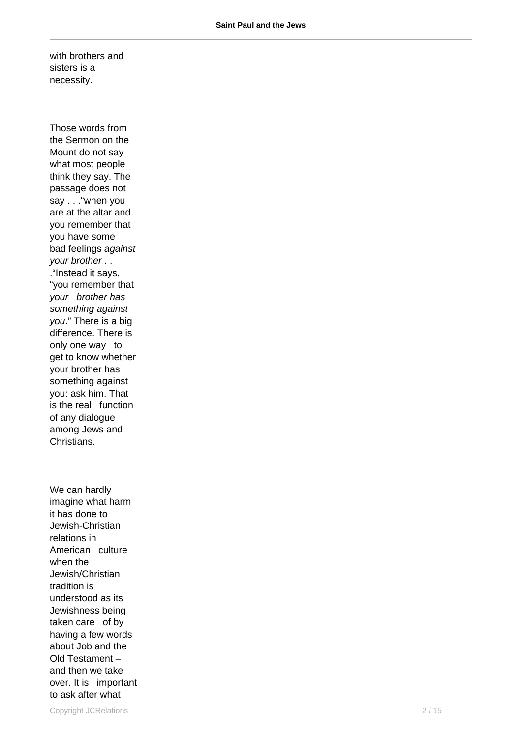with brothers and sisters is a necessity.

Those words from the Sermon on the Mount do not say what most people think they say. The passage does not say . . . "when you are at the altar and you remember that you have some bad feelings against your brother . . ."Instead it says, "you remember that your brother has something against you." There is a big difference. There is only one way to get to know whether your brother has something against you: ask him. That is the real function of any dialogue among Jews and Christians.

We can hardly imagine what harm it has done to Jewish-Christian relations in American culture when the Jewish/Christian tradition is understood as its Jewishness being taken care of by having a few words about Job and the Old Testament – and then we take over. It is important to ask after what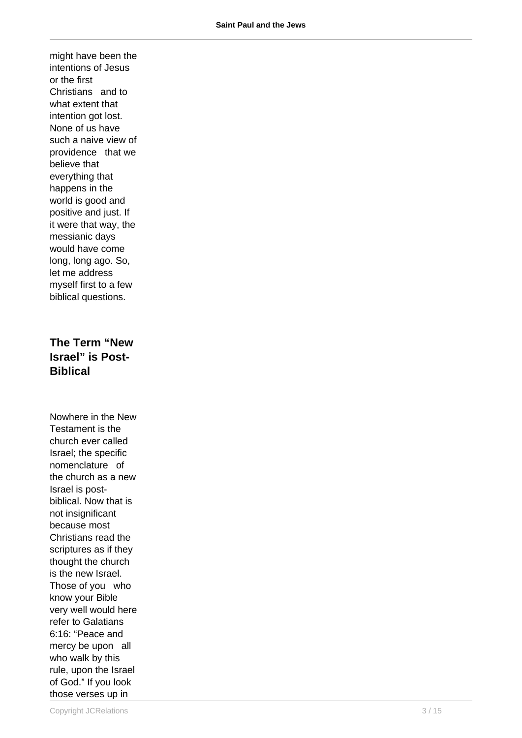might have been the intentions of Jesus or the first Christians and to what extent that intention got lost. None of us have such a naive view of providence that we believe that everything that happens in the world is good and positive and just. If it were that way, the messianic days would have come long, long ago. So, let me address myself first to a few biblical questions.

**The Term "New Israel" is Post-Biblical**

Nowhere in the New Testament is the church ever called Israel; the specific nomenclature of the church as a new Israel is postbiblical. Now that is not insignificant because most Christians read the scriptures as if they thought the church is the new Israel. Those of you who know your Bible very well would here refer to Galatians 6:16: "Peace and mercy be upon all who walk by this rule, upon the Israel of God." If you look those verses up in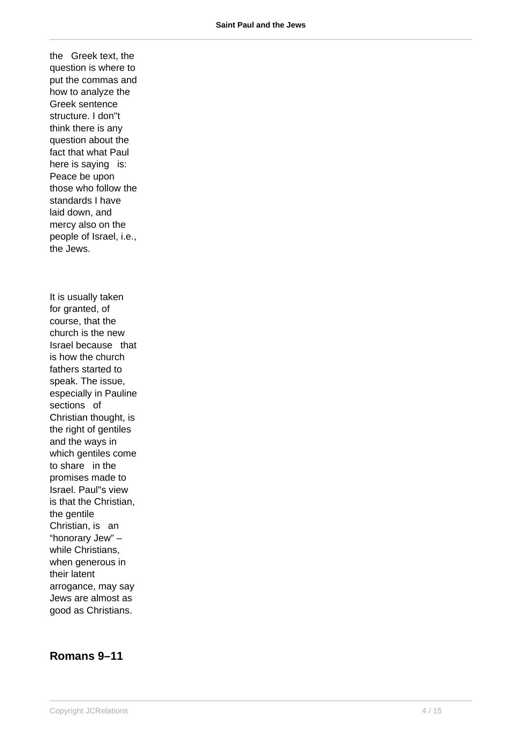the Greek text, the question is where to put the commas and how to analyze the Greek sentence structure. I don"t think there is any question about the fact that what Paul here is saying is: Peace be upon those who follow the standards I have laid down, and mercy also on the people of Israel, i.e., the Jews.

It is usually taken for granted, of course, that the church is the new Israel because that is how the church fathers started to speak. The issue, especially in Pauline sections of Christian thought, is the right of gentiles and the ways in which gentiles come to share in the promises made to Israel. Paul"s view is that the Christian, the gentile Christian, is an "honorary Jew" – while Christians, when generous in their latent arrogance, may say Jews are almost as good as Christians.

#### **Romans 9–11**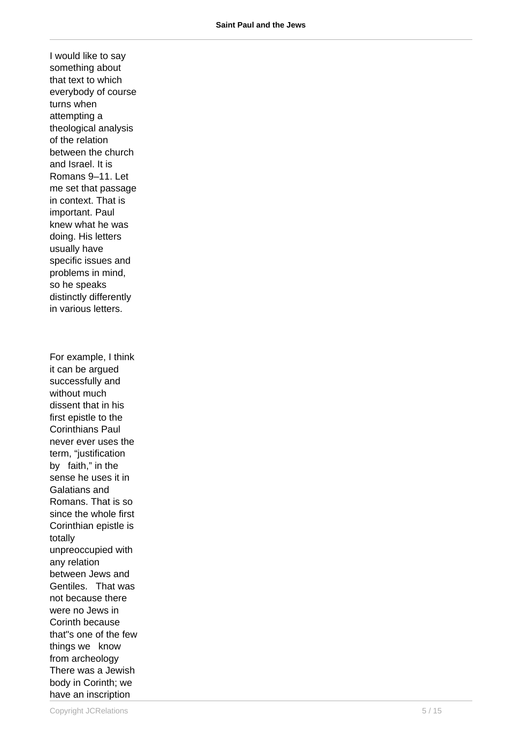I would like to say something about that text to which everybody of course turns when attempting a theological analysis of the relation between the church and Israel. It is Romans 9–11. Let me set that passage in context. That is important. Paul knew what he was doing. His letters usually have specific issues and problems in mind, so he speaks distinctly differently in various letters. For example, I think it can be argued successfully and without much dissent that in his first epistle to the Corinthians Paul never ever uses the term, "justification by faith," in the sense he uses it in Galatians and Romans. That is so since the whole first Corinthian epistle is totally unpreoccupied with any relation between Jews and Gentiles. That was not because there were no Jews in Corinth because that"s one of the few things we know from archeology There was a Jewish body in Corinth; we have an inscription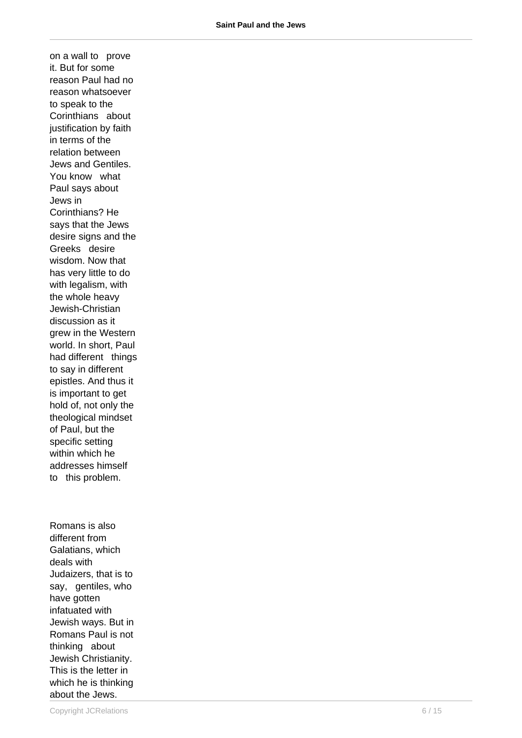on a wall to prove it. But for some reason Paul had no reason whatsoever to speak to the Corinthians about justification by faith in terms of the relation between Jews and Gentiles. You know what Paul says about Jews in Corinthians? He says that the Jews desire signs and the Greeks desire wisdom. Now that has very little to do with legalism, with the whole heavy Jewish-Christian discussion as it grew in the Western world. In short, Paul had different things to say in different epistles. And thus it is important to get hold of, not only the theological mindset of Paul, but the specific setting within which he addresses himself to this problem.

Romans is also different from Galatians, which deals with Judaizers, that is to say, gentiles, who have gotten infatuated with Jewish ways. But in Romans Paul is not thinking about Jewish Christianity. This is the letter in which he is thinking about the Jews.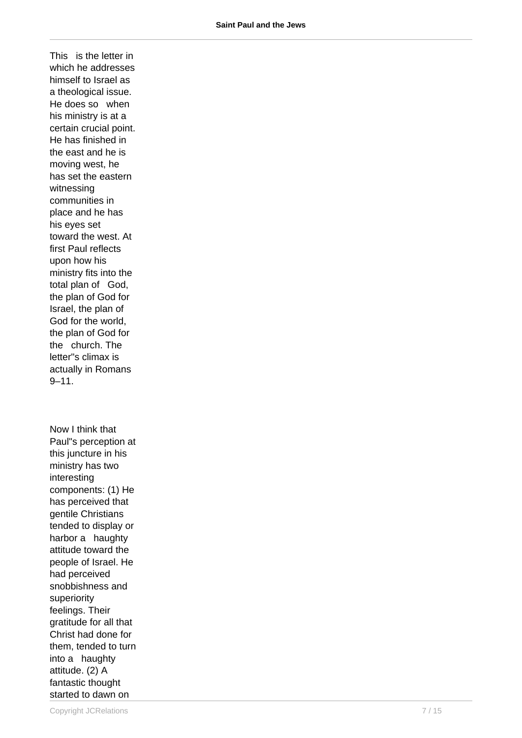This is the letter in which he addresses himself to Israel as a theological issue. He does so when his ministry is at a certain crucial point. He has finished in the east and he is moving west, he has set the eastern witnessing communities in place and he has his eyes set toward the west. At first Paul reflects upon how his ministry fits into the total plan of God, the plan of God for Israel, the plan of God for the world, the plan of God for the church. The letter"s climax is actually in Romans  $9 - 11$ .

Now I think that Paul"s perception at this juncture in his ministry has two interesting components: (1) He has perceived that gentile Christians tended to display or harbor a haughty attitude toward the people of Israel. He had perceived snobbishness and superiority feelings. Their gratitude for all that Christ had done for them, tended to turn into a haughty attitude. (2) A fantastic thought started to dawn on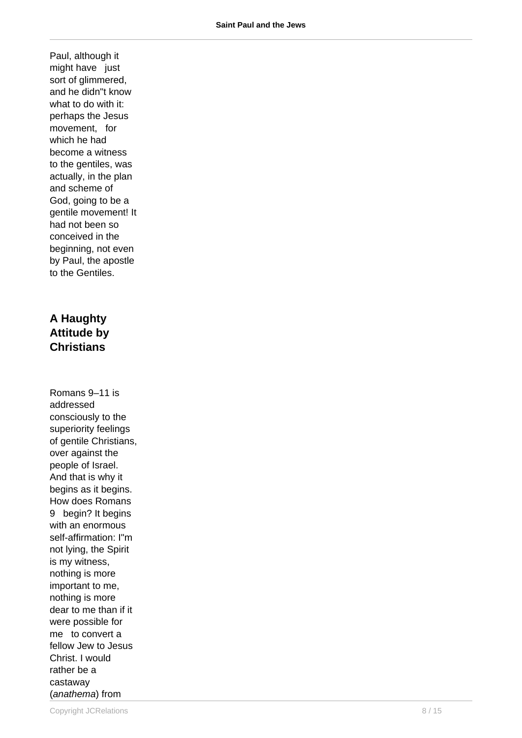Paul, although it might have just sort of glimmered, and he didn"t know what to do with it: perhaps the Jesus movement, for which he had become a witness to the gentiles, was actually, in the plan and scheme of God, going to be a gentile movement! It had not been so conceived in the beginning, not even by Paul, the apostle to the Gentiles.

#### **A Haughty Attitude by Christians**

Romans 9–11 is addressed consciously to the superiority feelings of gentile Christians, over against the people of Israel. And that is why it begins as it begins. How does Romans 9 begin? It begins with an enormous self-affirmation: I"m not lying, the Spirit is my witness, nothing is more important to me, nothing is more dear to me than if it were possible for me to convert a fellow Jew to Jesus Christ. I would rather be a castaway (anathema) from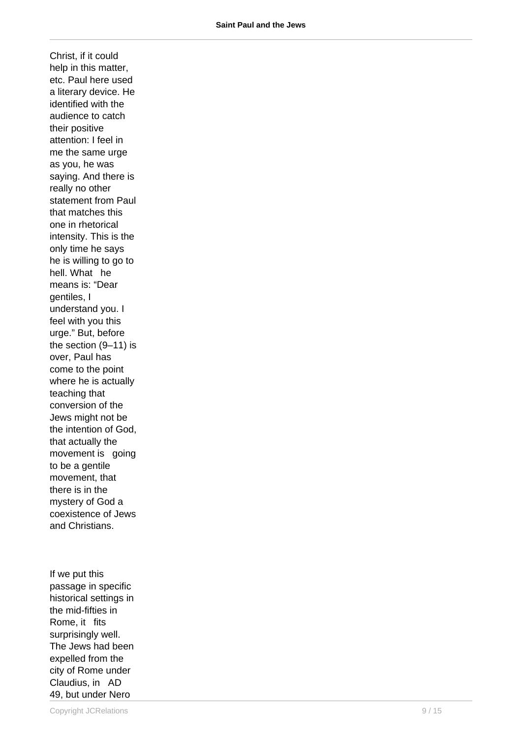Christ, if it could help in this matter, etc. Paul here used a literary device. He identified with the audience to catch their positive attention: I feel in me the same urge as you, he was saying. And there is really no other statement from Paul that matches this one in rhetorical intensity. This is the only time he says he is willing to go to hell. What he means is: "Dear gentiles, I understand you. I feel with you this urge." But, before the section (9–11) is over, Paul has come to the point where he is actually teaching that conversion of the Jews might not be the intention of God, that actually the movement is going to be a gentile movement, that there is in the mystery of God a coexistence of Jews and Christians.

If we put this passage in specific historical settings in the mid-fifties in Rome, it fits surprisingly well. The Jews had been expelled from the city of Rome under Claudius, in AD 49, but under Nero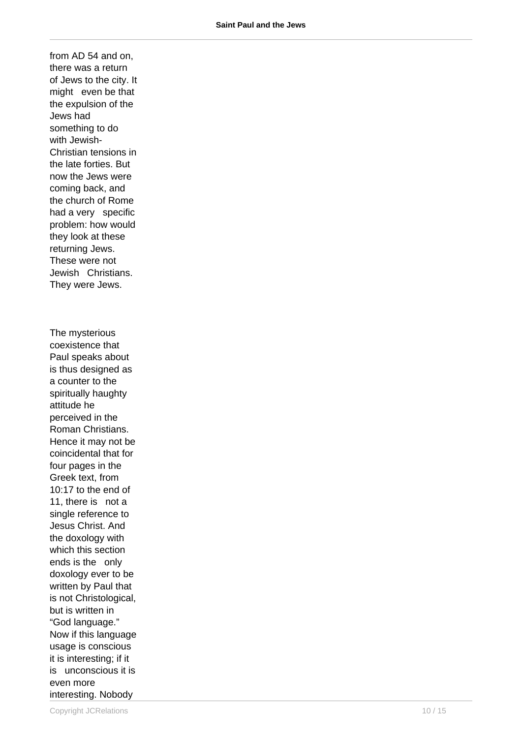from AD 54 and on, there was a return of Jews to the city. It might even be that the expulsion of the Jews had something to do with Jewish-Christian tensions in the late forties. But now the Jews were coming back, and the church of Rome had a very specific problem: how would they look at these returning Jews. These were not Jewish Christians. They were Jews. The mysterious coexistence that Paul speaks about is thus designed as a counter to the spiritually haughty attitude he perceived in the Roman Christians. Hence it may not be coincidental that for four pages in the Greek text, from 10:17 to the end of 11, there is not a single reference to Jesus Christ. And the doxology with which this section ends is the only doxology ever to be written by Paul that is not Christological, but is written in "God language." Now if this language usage is conscious it is interesting; if it is unconscious it is even more interesting. Nobody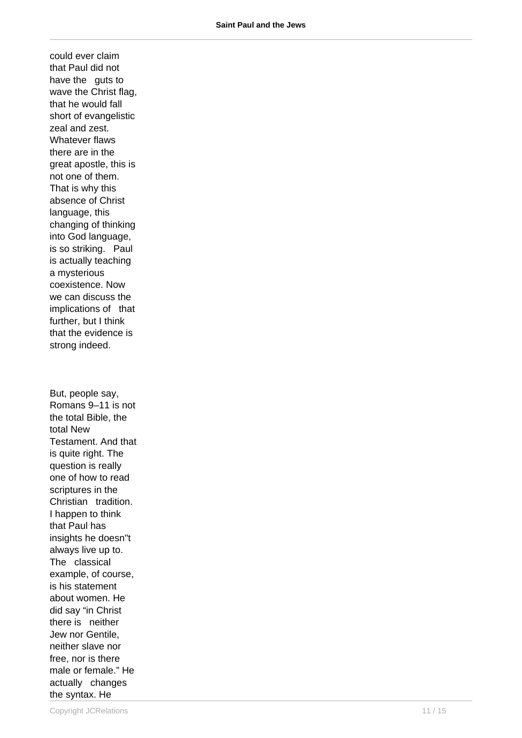could ever claim that Paul did not have the guts to wave the Christ flag, that he would fall short of evangelistic zeal and zest. Whatever flaws there are in the great apostle, this is not one of them. That is why this absence of Christ language, this changing of thinking into God language, is so striking. Paul is actually teaching a mysterious coexistence. Now we can discuss the implications of that further, but I think that the evidence is strong indeed. But, people say, Romans 9–11 is not the total Bible, the total New Testament. And that is quite right. The question is really one of how to read scriptures in the Christian tradition. I happen to think that Paul has insights he doesn"t always live up to. The classical example, of course, is his statement about women. He did say "in Christ there is neither Jew nor Gentile,

neither slave nor free, nor is there male or female." He actually changes the syntax. He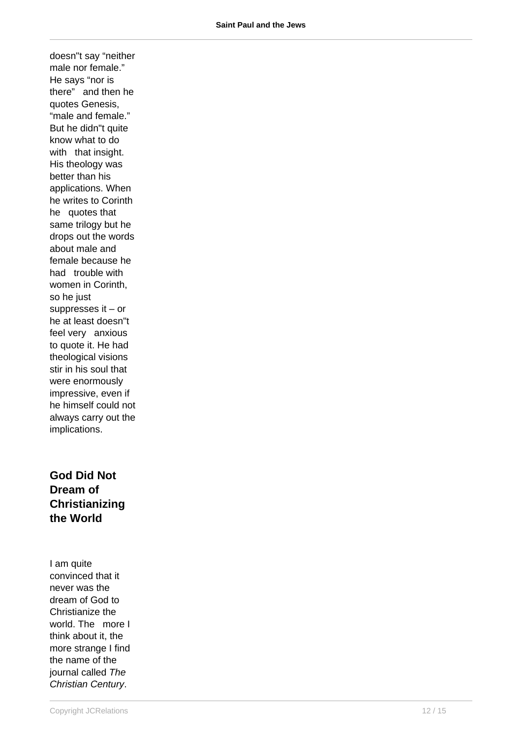doesn"t say "neither male nor female." He says "nor is there" and then he quotes Genesis, "male and female." But he didn"t quite know what to do with that insight. His theology was better than his applications. When he writes to Corinth he quotes that same trilogy but he drops out the words about male and female because he had trouble with women in Corinth, so he just suppresses it – or he at least doesn"t feel very anxious to quote it. He had theological visions stir in his soul that were enormously impressive, even if he himself could not always carry out the implications.

**God Did Not Dream of Christianizing the World**

I am quite convinced that it never was the dream of God to Christianize the world. The more I think about it, the more strange I find the name of the journal called The Christian Century.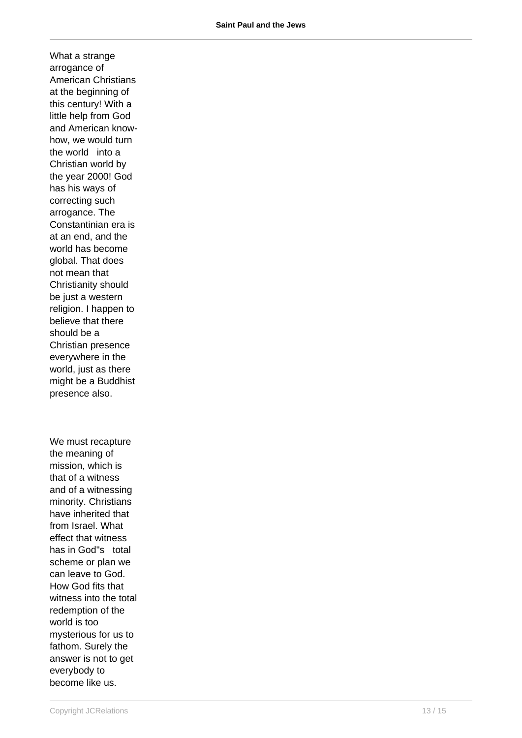What a strange arrogance of American Christians at the beginning of this century! With a little help from God and American knowhow, we would turn the world into a Christian world by the year 2000! God has his ways of correcting such arrogance. The Constantinian era is at an end, and the world has become global. That does not mean that Christianity should be just a western religion. I happen to believe that there should be a Christian presence everywhere in the world, just as there might be a Buddhist presence also.

We must recapture the meaning of mission, which is that of a witness and of a witnessing minority. Christians have inherited that from Israel. What effect that witness has in God"s total scheme or plan we can leave to God. How God fits that witness into the total redemption of the world is too mysterious for us to fathom. Surely the answer is not to get everybody to become like us.